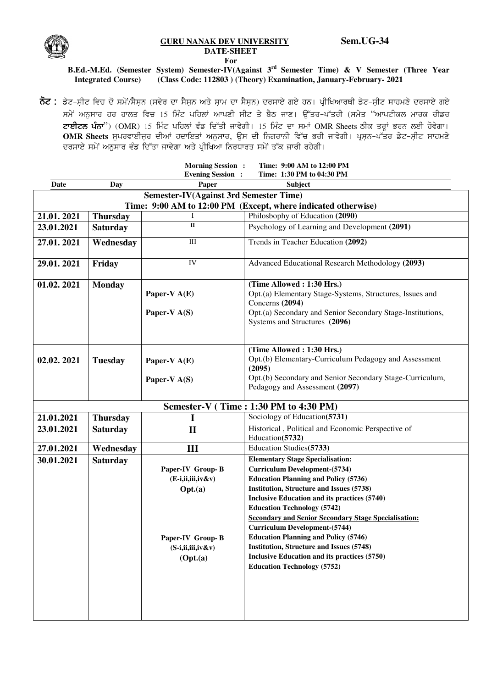

## **GURU NANAK DEV UNIVERSITY Sem.UG-34 DATE-SHEET**

 **For** 

## **B.Ed.-M.Ed. (Semester System) Semester-IV(Against 3rd Semester Time) & V Semester (Three Year Integrated Course) (Class Code: 112803 ) (Theory) Examination, January-February- 2021**

**ਨੋਟ :** ਡੇਟ-ਸ਼ੀਟ ਵਿਚ ਦੋ ਸਮੇਂ/ਸੈਸ਼ਨ (ਸਵੇਰ ਦਾ ਸੈਸ਼ਨ ਅਤੇ ਸ਼ਾਮ ਦਾ ਸੈਸ਼ਨ) ਦਰਸਾਏ ਗਏ ਹਨ। ਪ੍ਰੀਖਿਆਰਥੀ ਡੇਟ-ਸ਼ੀਟ ਸਾਹਮਣੇ ਦਰਸਾਏ ਗਏ *;w/A nB[;ko jo jkbs ftu 15 fwzN gfjbK nkgDh ;hN s/ p?m ikD. T[Zso^gZsoh (;w/s* "*nkgNheb wkoe ohvo ਟਾਈਟਲ ਪੰਨਾ*") (OMR) 15 ਮਿੰਟ ਪਹਿਲਾਂ ਵੰਡ ਦਿੱਤੀ ਜਾਵੇਗੀ। 15 ਮਿੰਟ ਦਾ ਸਮਾਂ OMR Sheets ਠੀਕ ਤਰ੍ਹਾਂ ਭਰਨ ਲਈ ਹੋਵੇਗਾ। **OMR Sheets** ਸੁਪਰਵਾਈਜ਼ਰ ਦੀਆਂ ਹਦਾਇਤਾਂ ਅਨੁਸਾਰ, ਉਸ ਦੀ ਨਿਗਰਾਨੀ ਵਿੱਚ ਭਰੀ ਜਾਵੇਗੀ। ਪ੍ਰਸ਼ਨ-ਪੱਤਰ ਡੇਟ-ਸ਼ੀਟ ਸਾਹਮਣੇ *ਦ*ਰਸਾਏ ਸਮੇਂ ਅਨੁਸਾਰ ਵੰਡ ਦਿੱਤਾ ਜਾਵੇਗਾ ਅਤੇ ਪ੍ਰੀਖਿਆ ਨਿਰਧਾਰਤ ਸਮੇਂ ਤੱਕ ਜਾਰੀ ਰਹੇਗੀ।

|                                                               |                 | <b>Morning Session</b> :<br><b>Evening Session :</b>                                                            | Time: 9:00 AM to 12:00 PM<br>Time: 1:30 PM to 04:30 PM                                                                                                                                                                                                                                                                                                                                                                                                                                                                                                          |  |  |
|---------------------------------------------------------------|-----------------|-----------------------------------------------------------------------------------------------------------------|-----------------------------------------------------------------------------------------------------------------------------------------------------------------------------------------------------------------------------------------------------------------------------------------------------------------------------------------------------------------------------------------------------------------------------------------------------------------------------------------------------------------------------------------------------------------|--|--|
| Date                                                          | Day             | Paper                                                                                                           | Subject                                                                                                                                                                                                                                                                                                                                                                                                                                                                                                                                                         |  |  |
| <b>Semester-IV(Against 3rd Semester Time)</b>                 |                 |                                                                                                                 |                                                                                                                                                                                                                                                                                                                                                                                                                                                                                                                                                                 |  |  |
| Time: 9:00 AM to 12:00 PM (Except, where indicated otherwise) |                 |                                                                                                                 |                                                                                                                                                                                                                                                                                                                                                                                                                                                                                                                                                                 |  |  |
| 21.01.2021                                                    | <b>Thursday</b> |                                                                                                                 | Philosbophy of Education (2090)                                                                                                                                                                                                                                                                                                                                                                                                                                                                                                                                 |  |  |
| 23.01.2021                                                    | <b>Saturday</b> | $\overline{\mathbf{u}}$                                                                                         | Psychology of Learning and Development (2091)                                                                                                                                                                                                                                                                                                                                                                                                                                                                                                                   |  |  |
| 27.01.2021                                                    | Wednesday       | $\rm III$                                                                                                       | Trends in Teacher Education (2092)                                                                                                                                                                                                                                                                                                                                                                                                                                                                                                                              |  |  |
| 29.01.2021                                                    | Friday          | IV                                                                                                              | Advanced Educational Research Methodology (2093)                                                                                                                                                                                                                                                                                                                                                                                                                                                                                                                |  |  |
| 01.02.2021                                                    | <b>Monday</b>   | Paper-V $A(E)$<br>Paper-V A(S)                                                                                  | (Time Allowed: 1:30 Hrs.)<br>Opt.(a) Elementary Stage-Systems, Structures, Issues and<br>Concerns (2094)<br>Opt.(a) Secondary and Senior Secondary Stage-Institutions,<br>Systems and Structures (2096)                                                                                                                                                                                                                                                                                                                                                         |  |  |
| 02.02.2021                                                    | <b>Tuesday</b>  | Paper-V $A(E)$<br>Paper-V $A(S)$                                                                                | (Time Allowed: 1:30 Hrs.)<br>Opt.(b) Elementary-Curriculum Pedagogy and Assessment<br>(2095)<br>Opt.(b) Secondary and Senior Secondary Stage-Curriculum,<br>Pedagogy and Assessment (2097)                                                                                                                                                                                                                                                                                                                                                                      |  |  |
| Semester-V (Time: 1:30 PM to 4:30 PM)                         |                 |                                                                                                                 |                                                                                                                                                                                                                                                                                                                                                                                                                                                                                                                                                                 |  |  |
| 21.01.2021                                                    | <b>Thursday</b> | I                                                                                                               | Sociology of Education(5731)                                                                                                                                                                                                                                                                                                                                                                                                                                                                                                                                    |  |  |
| 23.01.2021                                                    | <b>Saturday</b> | $\mathbf{I}$                                                                                                    | Historical, Political and Economic Perspective of<br>Education(5732)                                                                                                                                                                                                                                                                                                                                                                                                                                                                                            |  |  |
| 27.01.2021                                                    | Wednesday       | Ш                                                                                                               | Education Studies(5733)                                                                                                                                                                                                                                                                                                                                                                                                                                                                                                                                         |  |  |
| 30.01.2021                                                    | <b>Saturday</b> | Paper-IV Group-B<br>$(E-i, ii, iii, iv&v)$<br>Opt.(a)<br>Paper-IV Group-B<br>$(S-i, ii, iii, iv&v)$<br>(Opt.(a) | <b>Elementary Stage Specialisation:</b><br><b>Curriculum Development-(5734)</b><br><b>Education Planning and Policy (5736)</b><br>Institution, Structure and Issues (5738)<br>Inclusive Education and its practices (5740)<br><b>Education Technology (5742)</b><br><b>Secondary and Senior Secondary Stage Specialisation:</b><br><b>Curriculum Development-(5744)</b><br><b>Education Planning and Policy (5746)</b><br><b>Institution, Structure and Issues (5748)</b><br>Inclusive Education and its practices (5750)<br><b>Education Technology (5752)</b> |  |  |